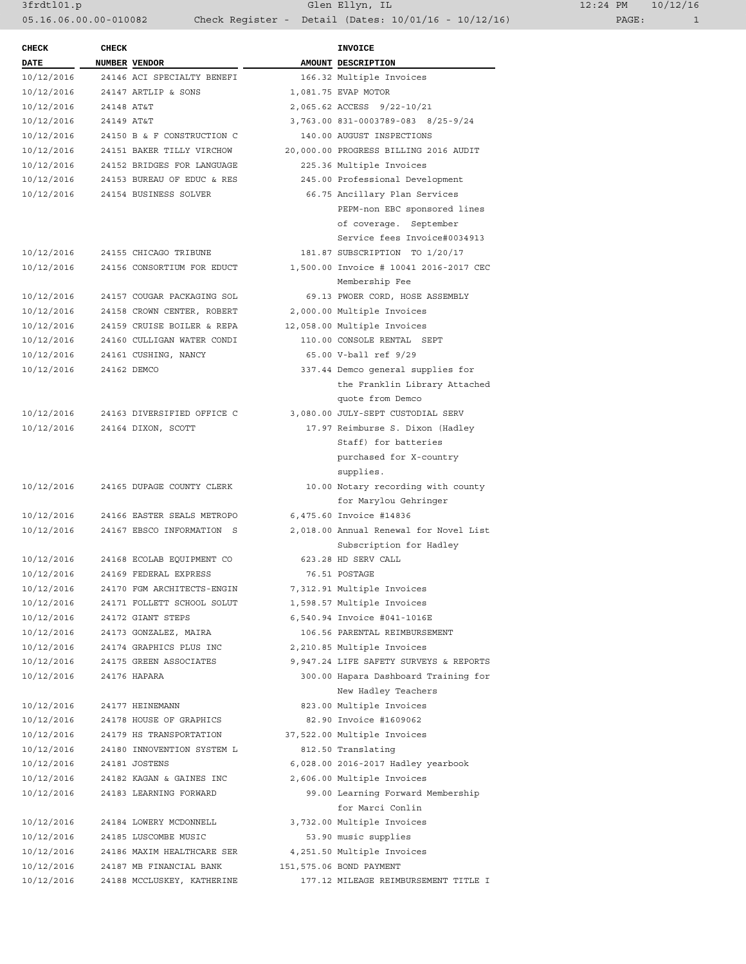3frdtl01.p Glen Ellyn, IL 12:24 PM 10/12/16 05.16.06.00.00-010082 Check Register - Detail (Dates: 10/01/16 - 10/12/16) PAGE: 1

| <b>CHECK</b>             | <b>CHECK</b> |                                             | <b>INVOICE</b>                                                   |
|--------------------------|--------------|---------------------------------------------|------------------------------------------------------------------|
| DATE                     |              | NUMBER VENDOR                               | AMOUNT DESCRIPTION                                               |
| 10/12/2016               |              | 24146 ACI SPECIALTY BENEFI                  | 166.32 Multiple Invoices                                         |
| 10/12/2016               |              | 24147 ARTLIP & SONS                         | 1,081.75 EVAP MOTOR                                              |
| 10/12/2016               | 24148 AT&T   |                                             | 2,065.62 ACCESS 9/22-10/21                                       |
| 10/12/2016               | 24149 AT&T   |                                             | 3,763.00 831-0003789-083 8/25-9/24                               |
| 10/12/2016               |              | 24150 B & F CONSTRUCTION C                  | 140.00 AUGUST INSPECTIONS                                        |
| 10/12/2016               |              | 24151 BAKER TILLY VIRCHOW                   | 20,000.00 PROGRESS BILLING 2016 AUDIT                            |
| 10/12/2016               |              | 24152 BRIDGES FOR LANGUAGE                  | 225.36 Multiple Invoices                                         |
| 10/12/2016               |              | 24153 BUREAU OF EDUC & RES                  | 245.00 Professional Development                                  |
| 10/12/2016               |              | 24154 BUSINESS SOLVER                       | 66.75 Ancillary Plan Services                                    |
|                          |              |                                             | PEPM-non EBC sponsored lines                                     |
|                          |              |                                             | of coverage. September                                           |
|                          |              |                                             | Service fees Invoice#0034913                                     |
| 10/12/2016               |              | 24155 CHICAGO TRIBUNE                       | 181.87 SUBSCRIPTION TO 1/20/17                                   |
| 10/12/2016               |              | 24156 CONSORTIUM FOR EDUCT                  | 1,500.00 Invoice # 10041 2016-2017 CEC                           |
|                          |              |                                             | Membership Fee                                                   |
| 10/12/2016               |              | 24157 COUGAR PACKAGING SOL                  | 69.13 PWOER CORD, HOSE ASSEMBLY                                  |
| 10/12/2016               |              | 24158 CROWN CENTER, ROBERT                  | 2,000.00 Multiple Invoices                                       |
| 10/12/2016               |              | 24159 CRUISE BOILER & REPA                  | 12,058.00 Multiple Invoices                                      |
| 10/12/2016               |              | 24160 CULLIGAN WATER CONDI                  | 110.00 CONSOLE RENTAL SEPT                                       |
| 10/12/2016               |              | 24161 CUSHING, NANCY                        | 65.00 V-ball ref 9/29                                            |
| 10/12/2016               |              | 24162 DEMCO                                 | 337.44 Demco general supplies for                                |
|                          |              |                                             | the Franklin Library Attached                                    |
|                          |              |                                             | quote from Demco                                                 |
| 10/12/2016               |              | 24163 DIVERSIFIED OFFICE C                  | 3,080.00 JULY-SEPT CUSTODIAL SERV                                |
| 10/12/2016               |              | 24164 DIXON, SCOTT                          | 17.97 Reimburse S. Dixon (Hadley                                 |
|                          |              |                                             | Staff) for batteries                                             |
|                          |              |                                             | purchased for X-country                                          |
|                          |              |                                             | supplies.                                                        |
| 10/12/2016               |              | 24165 DUPAGE COUNTY CLERK                   | 10.00 Notary recording with county                               |
|                          |              |                                             | for Marylou Gehringer                                            |
| 10/12/2016               |              | 24166 EASTER SEALS METROPO                  | 6,475.60 Invoice #14836                                          |
| 10/12/2016               |              | 24167 EBSCO INFORMATION S                   | 2,018.00 Annual Renewal for Novel List                           |
|                          |              |                                             | Subscription for Hadley                                          |
| 10/12/2016               |              | 24168 ECOLAB EQUIPMENT CO                   | 623.28 HD SERV CALL                                              |
| 10/12/2016               |              | 24169 FEDERAL EXPRESS                       | 76.51 POSTAGE                                                    |
| 10/12/2016               |              | 24170 FGM ARCHITECTS-ENGIN                  | 7,312.91 Multiple Invoices                                       |
| 10/12/2016               |              | 24171 FOLLETT SCHOOL SOLUT                  | 1,598.57 Multiple Invoices                                       |
| 10/12/2016               |              | 24172 GIANT STEPS                           | 6,540.94 Invoice #041-1016E                                      |
| 10/12/2016               |              | 24173 GONZALEZ, MAIRA                       | 106.56 PARENTAL REIMBURSEMENT                                    |
| 10/12/2016               |              | 24174 GRAPHICS PLUS INC                     | 2,210.85 Multiple Invoices                                       |
| 10/12/2016               |              | 24175 GREEN ASSOCIATES                      | 9,947.24 LIFE SAFETY SURVEYS & REPORTS                           |
| 10/12/2016               |              | 24176 HAPARA                                | 300.00 Hapara Dashboard Training for                             |
|                          |              |                                             | New Hadley Teachers                                              |
| 10/12/2016               |              | 24177 HEINEMANN                             | 823.00 Multiple Invoices                                         |
| 10/12/2016               |              | 24178 HOUSE OF GRAPHICS                     | 82.90 Invoice #1609062                                           |
| 10/12/2016               |              | 24179 HS TRANSPORTATION                     | 37,522.00 Multiple Invoices                                      |
| 10/12/2016               |              | 24180 INNOVENTION SYSTEM L<br>24181 JOSTENS | 812.50 Translating                                               |
| 10/12/2016<br>10/12/2016 |              | 24182 KAGAN & GAINES INC                    | 6,028.00 2016-2017 Hadley yearbook<br>2,606.00 Multiple Invoices |
| 10/12/2016               |              | 24183 LEARNING FORWARD                      |                                                                  |
|                          |              |                                             | 99.00 Learning Forward Membership<br>for Marci Conlin            |
| 10/12/2016               |              | 24184 LOWERY MCDONNELL                      | 3,732.00 Multiple Invoices                                       |
| 10/12/2016               |              | 24185 LUSCOMBE MUSIC                        | 53.90 music supplies                                             |
| 10/12/2016               |              | 24186 MAXIM HEALTHCARE SER                  | 4,251.50 Multiple Invoices                                       |
| 10/12/2016               |              | 24187 MB FINANCIAL BANK                     | 151,575.06 BOND PAYMENT                                          |
| 10/12/2016               |              | 24188 MCCLUSKEY, KATHERINE                  | 177.12 MILEAGE REIMBURSEMENT TITLE I                             |
|                          |              |                                             |                                                                  |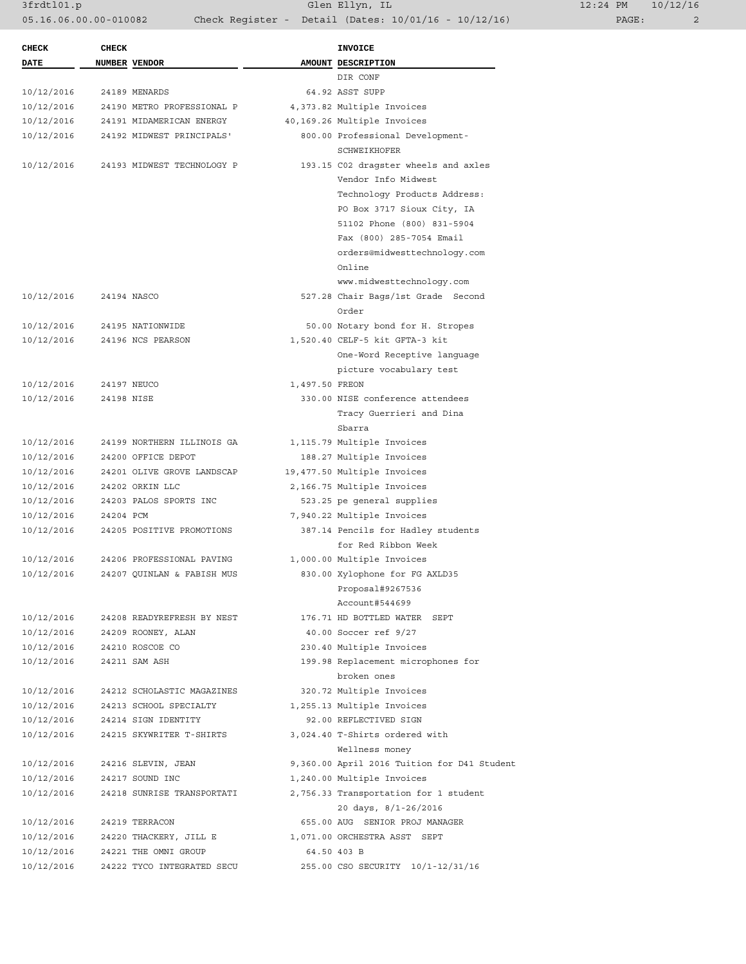3frdtl01.p Glen Ellyn, IL 12:24 PM 10/12/16 05.16.06.00.00-010082 Check Register - Detail (Dates: 10/01/16 - 10/12/16)

| <b>CHECK</b> | <b>CHECK</b>  |                            |                | <b>INVOICE</b>                                                |
|--------------|---------------|----------------------------|----------------|---------------------------------------------------------------|
| DATE         | NUMBER VENDOR |                            |                | AMOUNT DESCRIPTION                                            |
|              |               |                            |                | DIR CONF                                                      |
| 10/12/2016   |               | 24189 MENARDS              |                | 64.92 ASST SUPP                                               |
| 10/12/2016   |               | 24190 METRO PROFESSIONAL P |                | 4,373.82 Multiple Invoices                                    |
| 10/12/2016   |               | 24191 MIDAMERICAN ENERGY   |                | 40,169.26 Multiple Invoices                                   |
| 10/12/2016   |               | 24192 MIDWEST PRINCIPALS'  |                | 800.00 Professional Development-                              |
|              |               |                            |                | SCHWEIKHOFER                                                  |
| 10/12/2016   |               | 24193 MIDWEST TECHNOLOGY P |                | 193.15 C02 dragster wheels and axles                          |
|              |               |                            |                | Vendor Info Midwest                                           |
|              |               |                            |                | Technology Products Address:                                  |
|              |               |                            |                | PO Box 3717 Sioux City, IA                                    |
|              |               |                            |                | 51102 Phone (800) 831-5904                                    |
|              |               |                            |                | Fax (800) 285-7054 Email                                      |
|              |               |                            |                | orders@midwesttechnology.com                                  |
|              |               |                            |                | Online                                                        |
|              |               |                            |                | www.midwesttechnology.com                                     |
| 10/12/2016   |               | 24194 NASCO                |                | 527.28 Chair Bags/1st Grade Second                            |
|              |               |                            |                | Order                                                         |
| 10/12/2016   |               | 24195 NATIONWIDE           |                | 50.00 Notary bond for H. Stropes                              |
| 10/12/2016   |               | 24196 NCS PEARSON          |                | 1,520.40 CELF-5 kit GFTA-3 kit                                |
|              |               |                            |                | One-Word Receptive language                                   |
|              |               |                            |                | picture vocabulary test                                       |
| 10/12/2016   |               | 24197 NEUCO                | 1,497.50 FREON |                                                               |
| 10/12/2016   | 24198 NISE    |                            |                | 330.00 NISE conference attendees                              |
|              |               |                            |                | Tracy Guerrieri and Dina                                      |
|              |               |                            |                | Sbarra                                                        |
| 10/12/2016   |               | 24199 NORTHERN ILLINOIS GA |                | 1,115.79 Multiple Invoices                                    |
| 10/12/2016   |               | 24200 OFFICE DEPOT         |                | 188.27 Multiple Invoices                                      |
| 10/12/2016   |               | 24201 OLIVE GROVE LANDSCAP |                | 19,477.50 Multiple Invoices                                   |
| 10/12/2016   |               | 24202 ORKIN LLC            |                | 2,166.75 Multiple Invoices                                    |
| 10/12/2016   |               | 24203 PALOS SPORTS INC     |                | 523.25 pe general supplies                                    |
| 10/12/2016   | 24204 PCM     |                            |                | 7,940.22 Multiple Invoices                                    |
| 10/12/2016   |               | 24205 POSITIVE PROMOTIONS  |                | 387.14 Pencils for Hadley students                            |
|              |               |                            |                | for Red Ribbon Week                                           |
| 10/12/2016   |               | 24206 PROFESSIONAL PAVING  |                | 1,000.00 Multiple Invoices                                    |
| 10/12/2016   |               | 24207 QUINLAN & FABISH MUS |                | 830.00 Xylophone for FG AXLD35                                |
|              |               |                            |                | Proposal#9267536                                              |
|              |               |                            |                | Account#544699                                                |
| 10/12/2016   |               | 24208 READYREFRESH BY NEST |                | 176.71 HD BOTTLED WATER SEPT                                  |
| 10/12/2016   |               | 24209 ROONEY, ALAN         |                | 40.00 Soccer ref 9/27                                         |
| 10/12/2016   |               | 24210 ROSCOE CO            |                | 230.40 Multiple Invoices                                      |
| 10/12/2016   |               | 24211 SAM ASH              |                | 199.98 Replacement microphones for                            |
|              |               |                            |                | broken ones                                                   |
| 10/12/2016   |               | 24212 SCHOLASTIC MAGAZINES |                | 320.72 Multiple Invoices                                      |
| 10/12/2016   |               | 24213 SCHOOL SPECIALTY     |                | 1,255.13 Multiple Invoices                                    |
| 10/12/2016   |               | 24214 SIGN IDENTITY        |                | 92.00 REFLECTIVED SIGN                                        |
| 10/12/2016   |               | 24215 SKYWRITER T-SHIRTS   |                | 3,024.40 T-Shirts ordered with                                |
|              |               |                            |                | Wellness money                                                |
| 10/12/2016   |               | 24216 SLEVIN, JEAN         |                | 9,360.00 April 2016 Tuition for D41 Student                   |
| 10/12/2016   |               | 24217 SOUND INC            |                |                                                               |
|              |               |                            |                | 1,240.00 Multiple Invoices                                    |
| 10/12/2016   |               | 24218 SUNRISE TRANSPORTATI |                | 2,756.33 Transportation for 1 student<br>20 days, 8/1-26/2016 |
|              |               |                            |                |                                                               |
| 10/12/2016   |               | 24219 TERRACON             |                | 655.00 AUG SENIOR PROJ MANAGER                                |
| 10/12/2016   |               | 24220 THACKERY, JILL E     |                | 1,071.00 ORCHESTRA ASST SEPT                                  |
| 10/12/2016   |               | 24221 THE OMNI GROUP       |                | 64.50 403 B                                                   |
| 10/12/2016   |               | 24222 TYCO INTEGRATED SECU |                | 255.00 CSO SECURITY 10/1-12/31/16                             |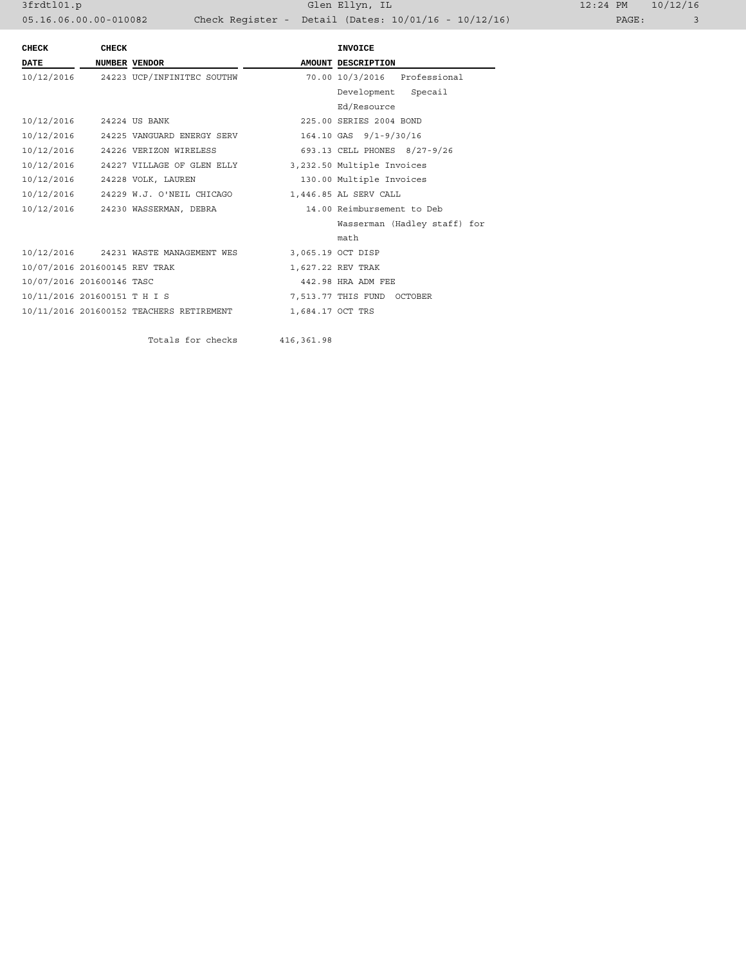| <b>CHECK</b>                  | <b>CHECK</b> |                                                       |                  | <b>INVOICE</b>               |  |  |
|-------------------------------|--------------|-------------------------------------------------------|------------------|------------------------------|--|--|
| <b>DATE</b>                   |              | NUMBER VENDOR                                         |                  | AMOUNT DESCRIPTION           |  |  |
|                               |              | 10/12/2016 24223 UCP/INFINITEC SOUTHW                 |                  | 70.00 10/3/2016 Professional |  |  |
|                               |              |                                                       |                  | Development Specail          |  |  |
|                               |              |                                                       |                  | Ed/Resource                  |  |  |
| 10/12/2016 24224 US BANK      |              |                                                       |                  | 225.00 SERIES 2004 BOND      |  |  |
|                               |              | 10/12/2016 24225 VANGUARD ENERGY SERV                 |                  | 164.10 GAS 9/1-9/30/16       |  |  |
|                               |              | 10/12/2016 24226 VERIZON WIRELESS                     |                  | 693.13 CELL PHONES 8/27-9/26 |  |  |
| 10/12/2016                    |              | 24227 VILLAGE OF GLEN ELLY 3,232.50 Multiple Invoices |                  |                              |  |  |
|                               |              | 10/12/2016 24228 VOLK, LAUREN                         |                  | 130.00 Multiple Invoices     |  |  |
|                               |              | 10/12/2016 24229 W.J. O'NEIL CHICAGO                  |                  | 1,446.85 AL SERV CALL        |  |  |
|                               |              | 10/12/2016 24230 WASSERMAN, DEBRA                     |                  | 14.00 Reimbursement to Deb   |  |  |
|                               |              |                                                       |                  | Wasserman (Hadley staff) for |  |  |
|                               |              |                                                       |                  | math                         |  |  |
|                               |              | 10/12/2016 24231 WASTE MANAGEMENT WES                 |                  | 3,065.19 OCT DISP            |  |  |
| 10/07/2016 201600145 REV TRAK |              |                                                       |                  | 1,627.22 REV TRAK            |  |  |
| 10/07/2016 201600146 TASC     |              |                                                       |                  | 442.98 HRA ADM FEE           |  |  |
| 10/11/2016 201600151 T H I S  |              |                                                       |                  | 7,513.77 THIS FUND OCTOBER   |  |  |
|                               |              | 10/11/2016 201600152 TEACHERS RETIREMENT              | 1,684.17 OCT TRS |                              |  |  |
|                               |              |                                                       |                  |                              |  |  |
|                               |              | Totals for checks                                     | 416,361.98       |                              |  |  |